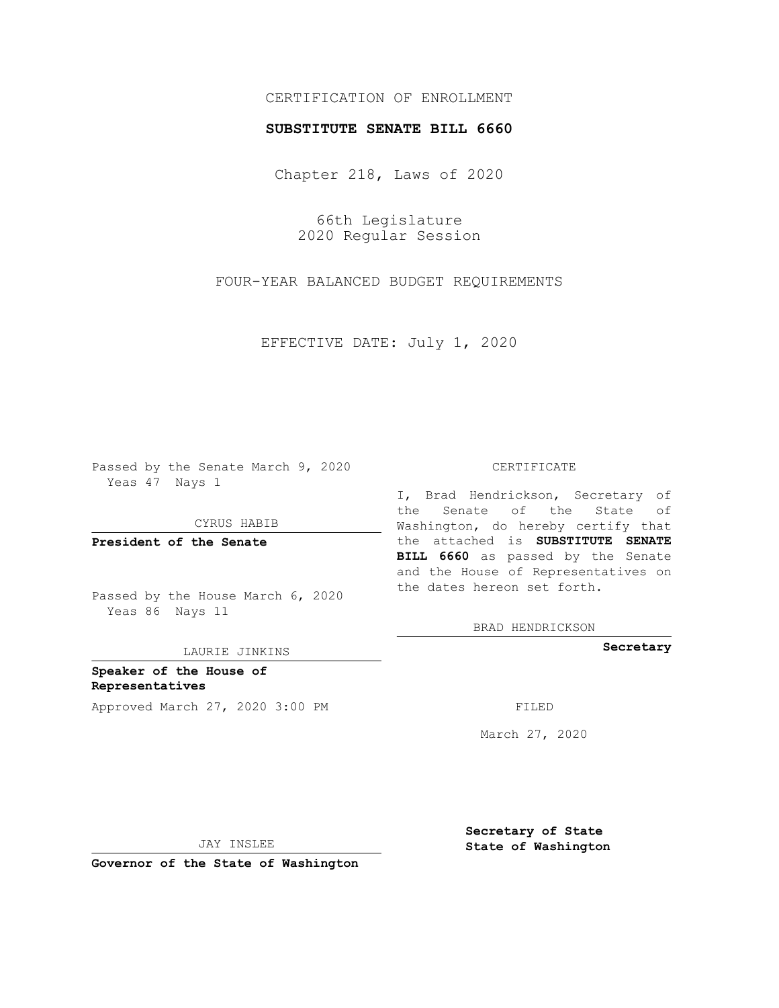## CERTIFICATION OF ENROLLMENT

### **SUBSTITUTE SENATE BILL 6660**

Chapter 218, Laws of 2020

66th Legislature 2020 Regular Session

FOUR-YEAR BALANCED BUDGET REQUIREMENTS

EFFECTIVE DATE: July 1, 2020

Passed by the Senate March 9, 2020 Yeas 47 Nays 1

CYRUS HABIB

**President of the Senate**

Passed by the House March 6, 2020 Yeas 86 Nays 11

LAURIE JINKINS

**Speaker of the House of Representatives** Approved March 27, 2020 3:00 PM

#### CERTIFICATE

I, Brad Hendrickson, Secretary of the Senate of the State of Washington, do hereby certify that the attached is **SUBSTITUTE SENATE BILL 6660** as passed by the Senate and the House of Representatives on the dates hereon set forth.

BRAD HENDRICKSON

**Secretary**

March 27, 2020

JAY INSLEE

**Governor of the State of Washington**

**Secretary of State State of Washington**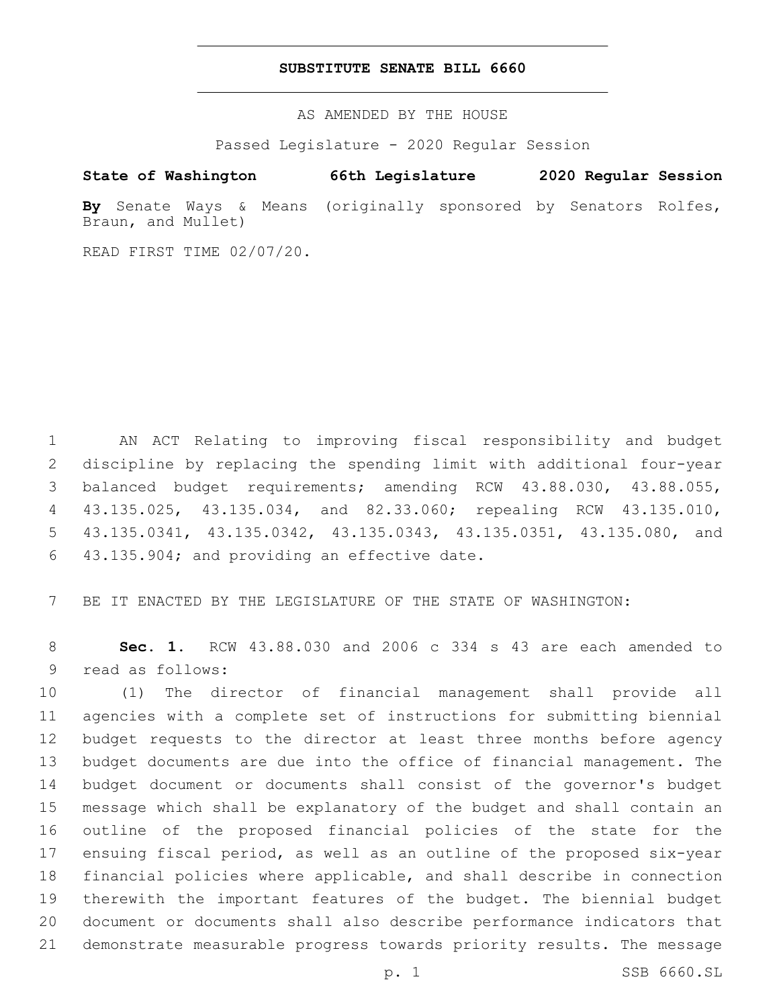### **SUBSTITUTE SENATE BILL 6660**

AS AMENDED BY THE HOUSE

Passed Legislature - 2020 Regular Session

# **State of Washington 66th Legislature 2020 Regular Session**

**By** Senate Ways & Means (originally sponsored by Senators Rolfes, Braun, and Mullet)

READ FIRST TIME 02/07/20.

 AN ACT Relating to improving fiscal responsibility and budget discipline by replacing the spending limit with additional four-year balanced budget requirements; amending RCW 43.88.030, 43.88.055, 43.135.025, 43.135.034, and 82.33.060; repealing RCW 43.135.010, 43.135.0341, 43.135.0342, 43.135.0343, 43.135.0351, 43.135.080, and 6 43.135.904; and providing an effective date.

BE IT ENACTED BY THE LEGISLATURE OF THE STATE OF WASHINGTON:

 **Sec. 1.** RCW 43.88.030 and 2006 c 334 s 43 are each amended to 9 read as follows:

 (1) The director of financial management shall provide all agencies with a complete set of instructions for submitting biennial budget requests to the director at least three months before agency budget documents are due into the office of financial management. The budget document or documents shall consist of the governor's budget message which shall be explanatory of the budget and shall contain an outline of the proposed financial policies of the state for the ensuing fiscal period, as well as an outline of the proposed six-year financial policies where applicable, and shall describe in connection therewith the important features of the budget. The biennial budget document or documents shall also describe performance indicators that demonstrate measurable progress towards priority results. The message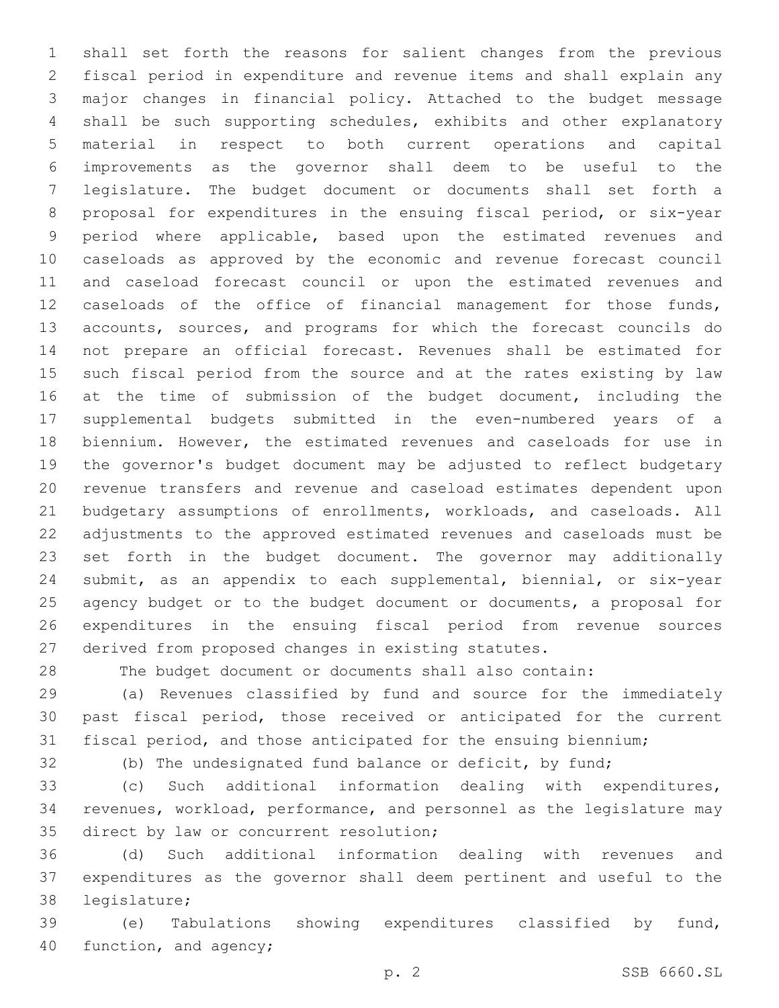shall set forth the reasons for salient changes from the previous fiscal period in expenditure and revenue items and shall explain any major changes in financial policy. Attached to the budget message shall be such supporting schedules, exhibits and other explanatory material in respect to both current operations and capital improvements as the governor shall deem to be useful to the legislature. The budget document or documents shall set forth a proposal for expenditures in the ensuing fiscal period, or six-year period where applicable, based upon the estimated revenues and caseloads as approved by the economic and revenue forecast council and caseload forecast council or upon the estimated revenues and caseloads of the office of financial management for those funds, accounts, sources, and programs for which the forecast councils do not prepare an official forecast. Revenues shall be estimated for such fiscal period from the source and at the rates existing by law 16 at the time of submission of the budget document, including the supplemental budgets submitted in the even-numbered years of a biennium. However, the estimated revenues and caseloads for use in the governor's budget document may be adjusted to reflect budgetary revenue transfers and revenue and caseload estimates dependent upon budgetary assumptions of enrollments, workloads, and caseloads. All adjustments to the approved estimated revenues and caseloads must be set forth in the budget document. The governor may additionally submit, as an appendix to each supplemental, biennial, or six-year agency budget or to the budget document or documents, a proposal for expenditures in the ensuing fiscal period from revenue sources derived from proposed changes in existing statutes.

The budget document or documents shall also contain:

 (a) Revenues classified by fund and source for the immediately past fiscal period, those received or anticipated for the current fiscal period, and those anticipated for the ensuing biennium;

(b) The undesignated fund balance or deficit, by fund;

 (c) Such additional information dealing with expenditures, revenues, workload, performance, and personnel as the legislature may 35 direct by law or concurrent resolution;

 (d) Such additional information dealing with revenues and expenditures as the governor shall deem pertinent and useful to the 38 legislature;

 (e) Tabulations showing expenditures classified by fund, 40 function, and agency;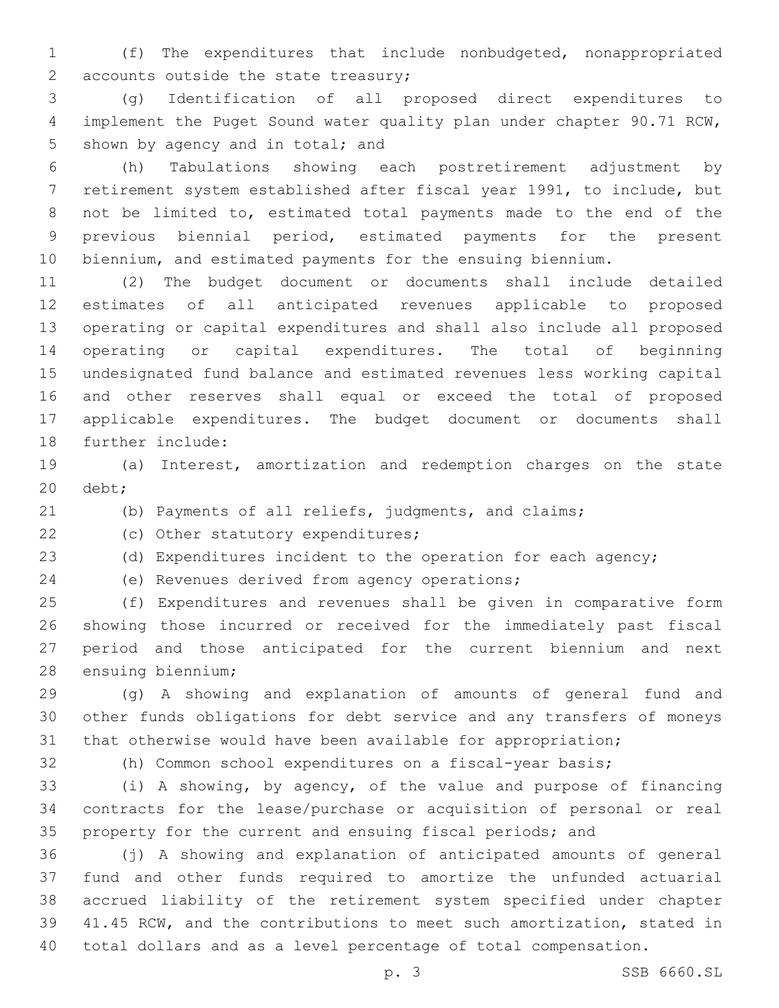(f) The expenditures that include nonbudgeted, nonappropriated 2 accounts outside the state treasury;

 (g) Identification of all proposed direct expenditures to implement the Puget Sound water quality plan under chapter 90.71 RCW, 5 shown by agency and in total; and

 (h) Tabulations showing each postretirement adjustment by retirement system established after fiscal year 1991, to include, but not be limited to, estimated total payments made to the end of the previous biennial period, estimated payments for the present biennium, and estimated payments for the ensuing biennium.

 (2) The budget document or documents shall include detailed estimates of all anticipated revenues applicable to proposed operating or capital expenditures and shall also include all proposed operating or capital expenditures. The total of beginning undesignated fund balance and estimated revenues less working capital and other reserves shall equal or exceed the total of proposed applicable expenditures. The budget document or documents shall 18 further include:

 (a) Interest, amortization and redemption charges on the state 20 debt;

(b) Payments of all reliefs, judgments, and claims;

22 (c) Other statutory expenditures;

(d) Expenditures incident to the operation for each agency;

(e) Revenues derived from agency operations;24

 (f) Expenditures and revenues shall be given in comparative form showing those incurred or received for the immediately past fiscal period and those anticipated for the current biennium and next 28 ensuing biennium;

 (g) A showing and explanation of amounts of general fund and other funds obligations for debt service and any transfers of moneys that otherwise would have been available for appropriation;

(h) Common school expenditures on a fiscal-year basis;

 (i) A showing, by agency, of the value and purpose of financing contracts for the lease/purchase or acquisition of personal or real property for the current and ensuing fiscal periods; and

 (j) A showing and explanation of anticipated amounts of general fund and other funds required to amortize the unfunded actuarial accrued liability of the retirement system specified under chapter 41.45 RCW, and the contributions to meet such amortization, stated in total dollars and as a level percentage of total compensation.

p. 3 SSB 6660.SL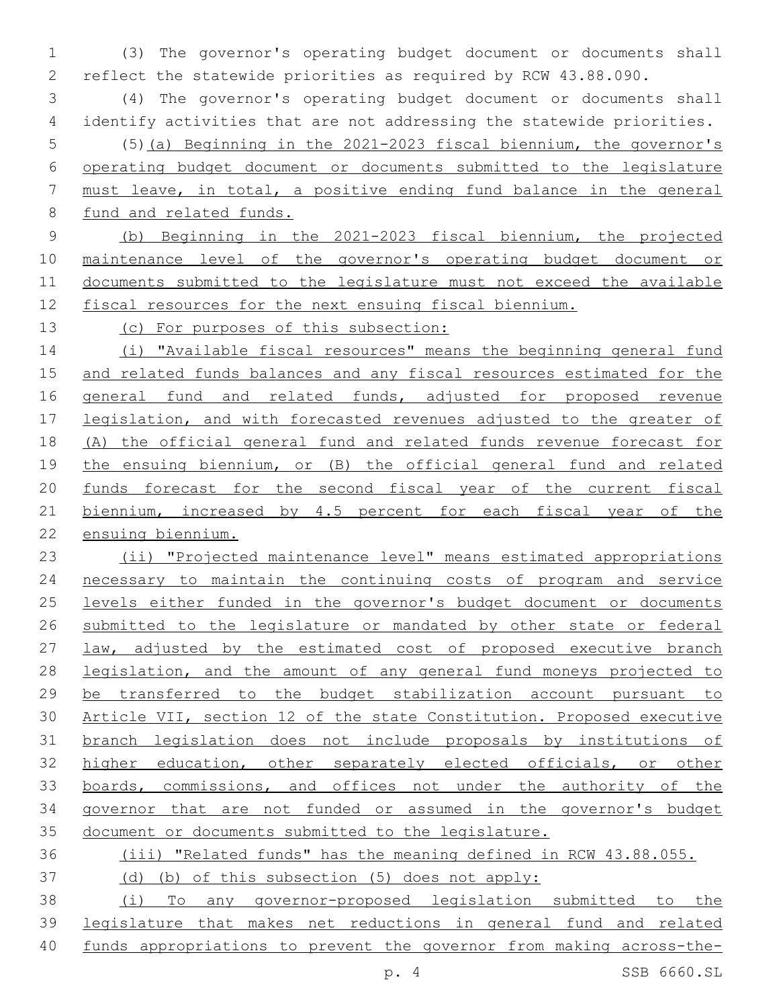(3) The governor's operating budget document or documents shall reflect the statewide priorities as required by RCW 43.88.090.

 (4) The governor's operating budget document or documents shall identify activities that are not addressing the statewide priorities.

 (5)(a) Beginning in the 2021-2023 fiscal biennium, the governor's operating budget document or documents submitted to the legislature must leave, in total, a positive ending fund balance in the general fund and related funds.

 (b) Beginning in the 2021-2023 fiscal biennium, the projected maintenance level of the governor's operating budget document or documents submitted to the legislature must not exceed the available fiscal resources for the next ensuing fiscal biennium.

(c) For purposes of this subsection:

 (i) "Available fiscal resources" means the beginning general fund and related funds balances and any fiscal resources estimated for the 16 general fund and related funds, adjusted for proposed revenue 17 legislation, and with forecasted revenues adjusted to the greater of (A) the official general fund and related funds revenue forecast for the ensuing biennium, or (B) the official general fund and related funds forecast for the second fiscal year of the current fiscal 21 biennium, increased by 4.5 percent for each fiscal year of the ensuing biennium.

 (ii) "Projected maintenance level" means estimated appropriations necessary to maintain the continuing costs of program and service levels either funded in the governor's budget document or documents submitted to the legislature or mandated by other state or federal law, adjusted by the estimated cost of proposed executive branch legislation, and the amount of any general fund moneys projected to be transferred to the budget stabilization account pursuant to Article VII, section 12 of the state Constitution. Proposed executive branch legislation does not include proposals by institutions of higher education, other separately elected officials, or other boards, commissions, and offices not under the authority of the governor that are not funded or assumed in the governor's budget document or documents submitted to the legislature.

# (iii) "Related funds" has the meaning defined in RCW 43.88.055.

(d) (b) of this subsection (5) does not apply:

 (i) To any governor-proposed legislation submitted to the legislature that makes net reductions in general fund and related funds appropriations to prevent the governor from making across-the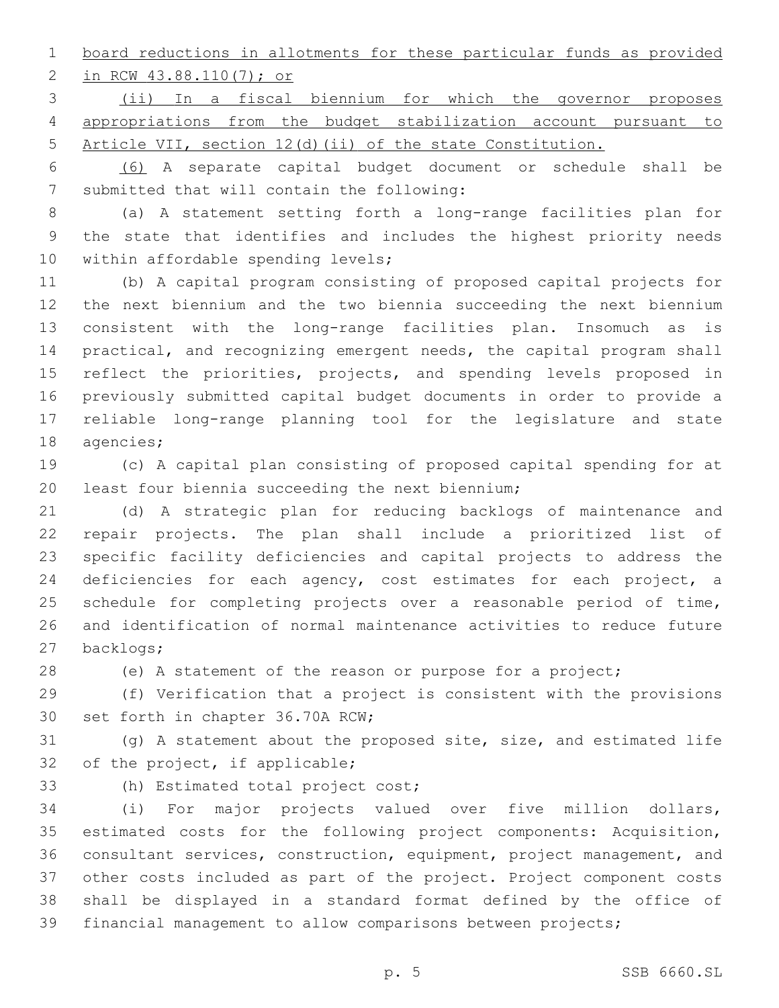board reductions in allotments for these particular funds as provided

2 in RCW 43.88.110(7); or

 (ii) In a fiscal biennium for which the governor proposes appropriations from the budget stabilization account pursuant to Article VII, section 12(d)(ii) of the state Constitution.

 (6) A separate capital budget document or schedule shall be 7 submitted that will contain the following:

 (a) A statement setting forth a long-range facilities plan for the state that identifies and includes the highest priority needs 10 within affordable spending levels;

 (b) A capital program consisting of proposed capital projects for the next biennium and the two biennia succeeding the next biennium consistent with the long-range facilities plan. Insomuch as is practical, and recognizing emergent needs, the capital program shall 15 reflect the priorities, projects, and spending levels proposed in previously submitted capital budget documents in order to provide a reliable long-range planning tool for the legislature and state 18 agencies;

 (c) A capital plan consisting of proposed capital spending for at 20 least four biennia succeeding the next biennium;

 (d) A strategic plan for reducing backlogs of maintenance and repair projects. The plan shall include a prioritized list of specific facility deficiencies and capital projects to address the 24 deficiencies for each agency, cost estimates for each project, a schedule for completing projects over a reasonable period of time, and identification of normal maintenance activities to reduce future 27 backlogs;

(e) A statement of the reason or purpose for a project;

 (f) Verification that a project is consistent with the provisions 30 set forth in chapter 36.70A RCW;

 (g) A statement about the proposed site, size, and estimated life 32 of the project, if applicable;

33 (h) Estimated total project cost;

 (i) For major projects valued over five million dollars, estimated costs for the following project components: Acquisition, consultant services, construction, equipment, project management, and other costs included as part of the project. Project component costs shall be displayed in a standard format defined by the office of financial management to allow comparisons between projects;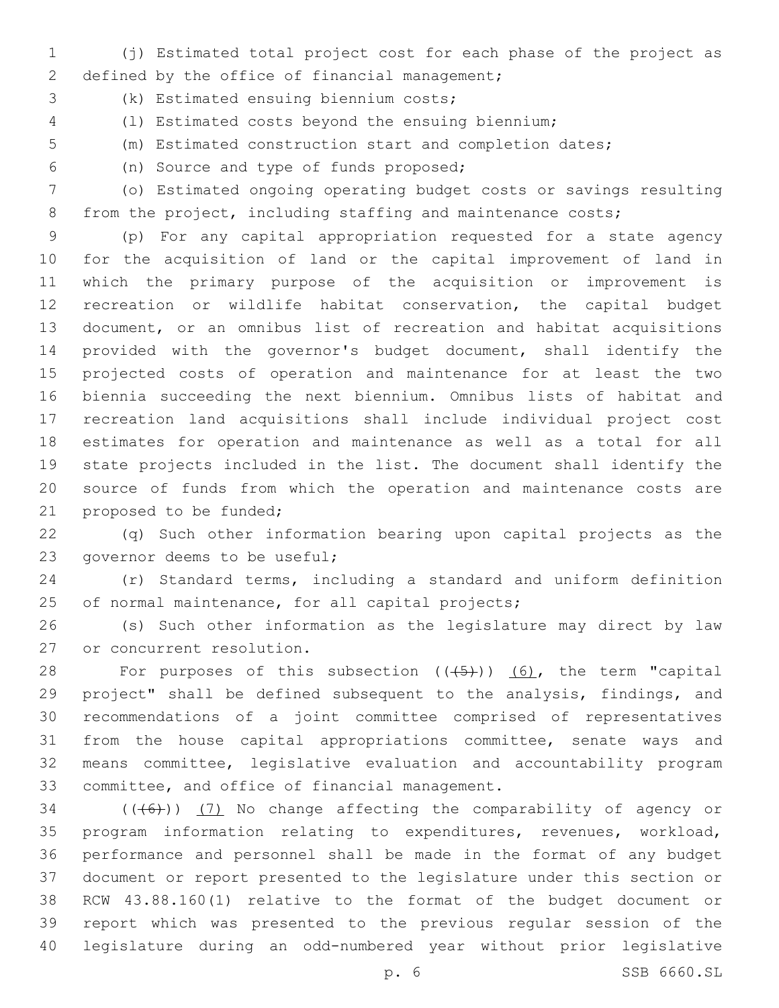- (j) Estimated total project cost for each phase of the project as 2 defined by the office of financial management;
- 3 (k) Estimated ensuing biennium costs;
- (l) Estimated costs beyond the ensuing biennium;
- (m) Estimated construction start and completion dates;
- (n) Source and type of funds proposed;6

 (o) Estimated ongoing operating budget costs or savings resulting 8 from the project, including staffing and maintenance costs;

 (p) For any capital appropriation requested for a state agency for the acquisition of land or the capital improvement of land in which the primary purpose of the acquisition or improvement is recreation or wildlife habitat conservation, the capital budget document, or an omnibus list of recreation and habitat acquisitions provided with the governor's budget document, shall identify the projected costs of operation and maintenance for at least the two biennia succeeding the next biennium. Omnibus lists of habitat and recreation land acquisitions shall include individual project cost estimates for operation and maintenance as well as a total for all state projects included in the list. The document shall identify the source of funds from which the operation and maintenance costs are 21 proposed to be funded;

 (q) Such other information bearing upon capital projects as the 23 governor deems to be useful;

 (r) Standard terms, including a standard and uniform definition 25 of normal maintenance, for all capital projects;

 (s) Such other information as the legislature may direct by law 27 or concurrent resolution.

28 For purposes of this subsection  $((+5+))$   $(6)$ , the term "capital project" shall be defined subsequent to the analysis, findings, and recommendations of a joint committee comprised of representatives from the house capital appropriations committee, senate ways and means committee, legislative evaluation and accountability program 33 committee, and office of financial management.

 (((6))) (7) No change affecting the comparability of agency or program information relating to expenditures, revenues, workload, performance and personnel shall be made in the format of any budget document or report presented to the legislature under this section or RCW 43.88.160(1) relative to the format of the budget document or report which was presented to the previous regular session of the legislature during an odd-numbered year without prior legislative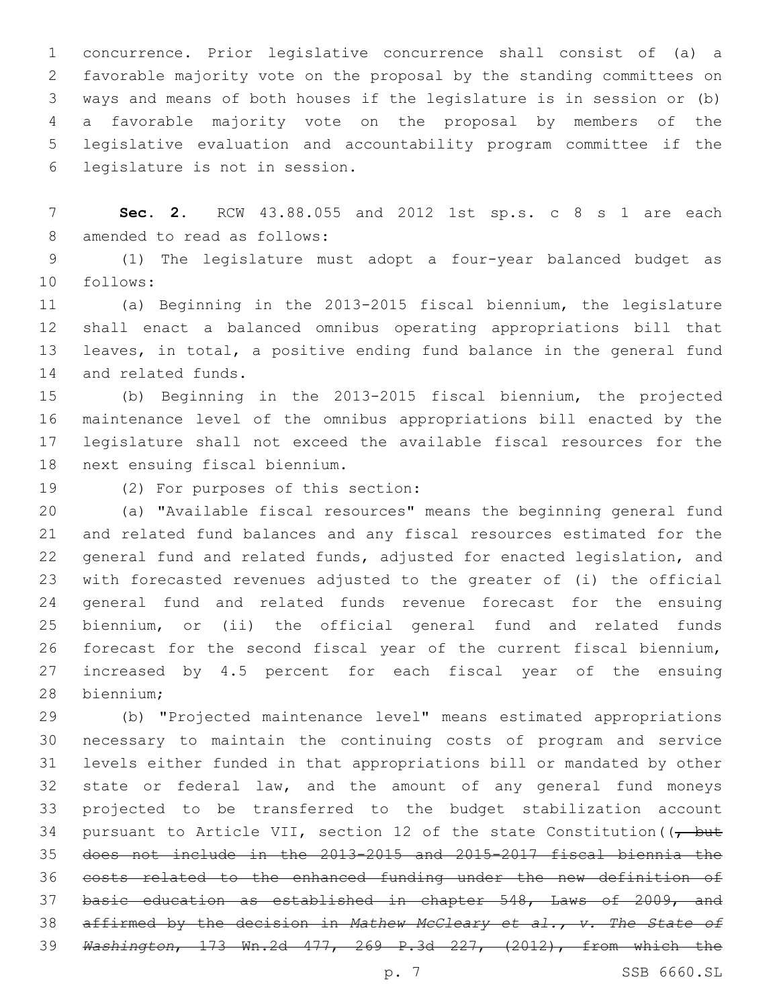concurrence. Prior legislative concurrence shall consist of (a) a favorable majority vote on the proposal by the standing committees on ways and means of both houses if the legislature is in session or (b) a favorable majority vote on the proposal by members of the legislative evaluation and accountability program committee if the legislature is not in session.6

 **Sec. 2.** RCW 43.88.055 and 2012 1st sp.s. c 8 s 1 are each 8 amended to read as follows:

 (1) The legislature must adopt a four-year balanced budget as follows:10

 (a) Beginning in the 2013-2015 fiscal biennium, the legislature shall enact a balanced omnibus operating appropriations bill that leaves, in total, a positive ending fund balance in the general fund 14 and related funds.

 (b) Beginning in the 2013-2015 fiscal biennium, the projected maintenance level of the omnibus appropriations bill enacted by the legislature shall not exceed the available fiscal resources for the 18 next ensuing fiscal biennium.

19 (2) For purposes of this section:

 (a) "Available fiscal resources" means the beginning general fund and related fund balances and any fiscal resources estimated for the general fund and related funds, adjusted for enacted legislation, and with forecasted revenues adjusted to the greater of (i) the official general fund and related funds revenue forecast for the ensuing biennium, or (ii) the official general fund and related funds forecast for the second fiscal year of the current fiscal biennium, increased by 4.5 percent for each fiscal year of the ensuing 28 biennium;

 (b) "Projected maintenance level" means estimated appropriations necessary to maintain the continuing costs of program and service levels either funded in that appropriations bill or mandated by other state or federal law, and the amount of any general fund moneys projected to be transferred to the budget stabilization account 34 pursuant to Article VII, section 12 of the state Constitution ( $\sqrt{$  but does not include in the 2013-2015 and 2015-2017 fiscal biennia the costs related to the enhanced funding under the new definition of basic education as established in chapter 548, Laws of 2009, and affirmed by the decision in *Mathew McCleary et al., v. The State of Washington*, 173 Wn.2d 477, 269 P.3d 227, (2012), from which the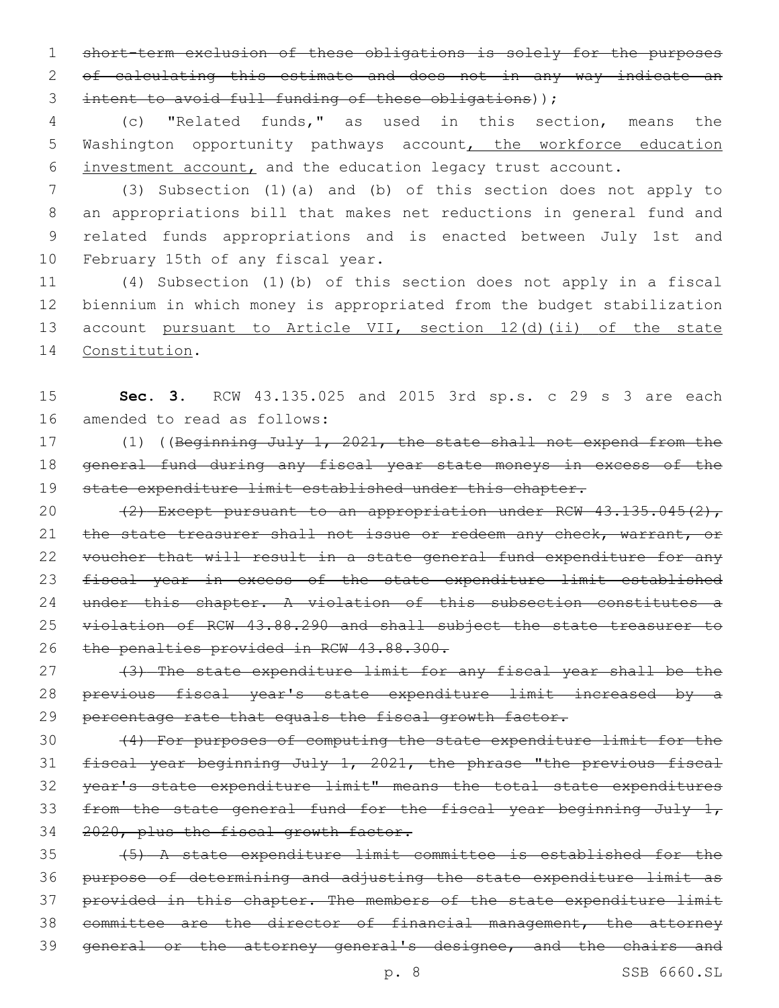1 short-term exclusion of these obligations is solely for the purposes 2 of calculating this estimate and does not in any way indicate an 3 intent to avoid full funding of these obligations));

4 (c) "Related funds," as used in this section, means the 5 Washington opportunity pathways account, the workforce education 6 investment account, and the education legacy trust account.

 (3) Subsection (1)(a) and (b) of this section does not apply to an appropriations bill that makes net reductions in general fund and related funds appropriations and is enacted between July 1st and 10 February 15th of any fiscal year.

 (4) Subsection (1)(b) of this section does not apply in a fiscal biennium in which money is appropriated from the budget stabilization account pursuant to Article VII, section 12(d)(ii) of the state 14 Constitution.

15 **Sec. 3.** RCW 43.135.025 and 2015 3rd sp.s. c 29 s 3 are each 16 amended to read as follows:

17 (1) ((Beginning July 1, 2021, the state shall not expend from the 18 general fund during any fiscal year state moneys in excess of the 19 state expenditure limit established under this chapter.

20  $(2)$  Except pursuant to an appropriation under RCW  $43.135.045(2)$ , 21 the state treasurer shall not issue or redeem any check, warrant, or 22 voucher that will result in a state general fund expenditure for any 23 fiscal year in excess of the state expenditure limit established 24 under this chapter. A violation of this subsection constitutes a 25 violation of RCW 43.88.290 and shall subject the state treasurer to 26 the penalties provided in RCW 43.88.300.

27 (3) The state expenditure limit for any fiscal year shall be the 28 previous fiscal year's state expenditure limit increased by a 29 percentage rate that equals the fiscal growth factor.

 (4) For purposes of computing the state expenditure limit for the fiscal year beginning July 1, 2021, the phrase "the previous fiscal year's state expenditure limit" means the total state expenditures 33 from the state general fund for the fiscal year beginning July  $1<sub>r</sub>$ 2020, plus the fiscal growth factor.

 (5) A state expenditure limit committee is established for the purpose of determining and adjusting the state expenditure limit as 37 provided in this chapter. The members of the state expenditure limit committee are the director of financial management, the attorney general or the attorney general's designee, and the chairs and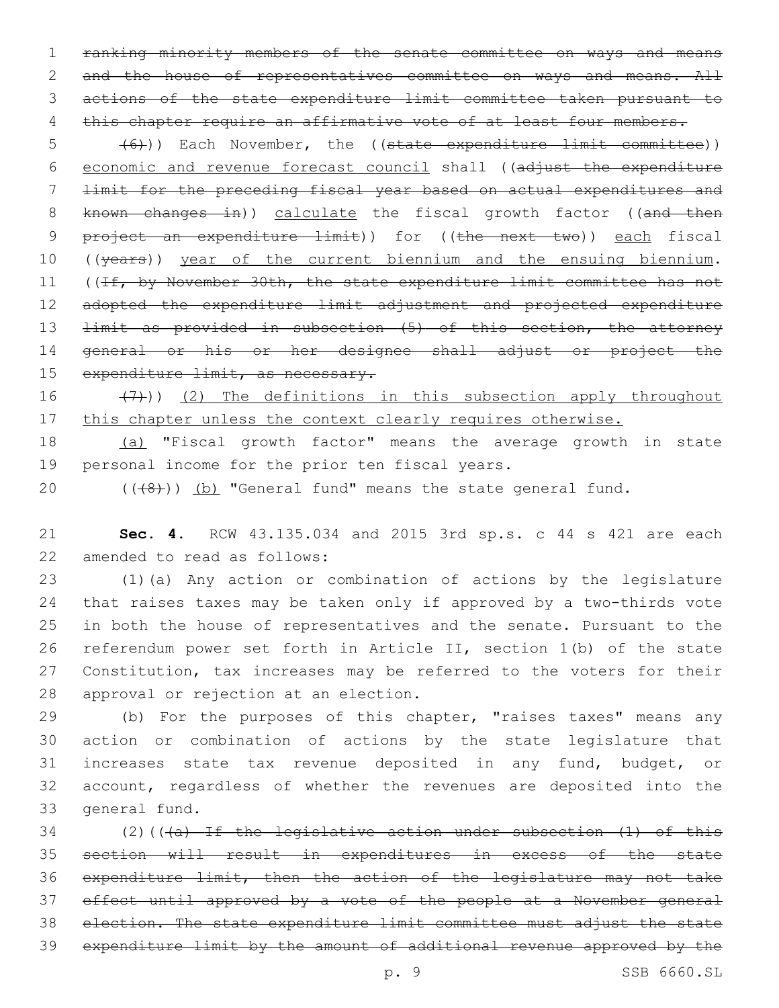1 ranking minority members of the senate committee on ways and means 2 and the house of representatives committee on ways and means. All 3 actions of the state expenditure limit committee taken pursuant to 4 this chapter require an affirmative vote of at least four members.

5 (6)) Each November, the ((state expenditure limit committee)) 6 economic and revenue forecast council shall ((adjust the expenditure 7 limit for the preceding fiscal year based on actual expenditures and 8 known changes in)) calculate the fiscal growth factor ((and then 9 project an expenditure limit)) for ((the next two)) each fiscal 10 ((years)) year of the current biennium and the ensuing biennium. 11 ((If, by November 30th, the state expenditure limit committee has not 12 adopted the expenditure limit adjustment and projected expenditure 13 <del>limit as provided in subsection (5) of this section, the attorney</del> 14 general or his or her designee shall adjust or project the 15 expenditure limit, as necessary.

16  $(7)$ )) (2) The definitions in this subsection apply throughout 17 this chapter unless the context clearly requires otherwise.

18 (a) "Fiscal growth factor" means the average growth in state 19 personal income for the prior ten fiscal years.

20 (((8)) (b) "General fund" means the state general fund.

21 **Sec. 4.** RCW 43.135.034 and 2015 3rd sp.s. c 44 s 421 are each 22 amended to read as follows:

 (1)(a) Any action or combination of actions by the legislature that raises taxes may be taken only if approved by a two-thirds vote in both the house of representatives and the senate. Pursuant to the referendum power set forth in Article II, section 1(b) of the state Constitution, tax increases may be referred to the voters for their 28 approval or rejection at an election.

 (b) For the purposes of this chapter, "raises taxes" means any action or combination of actions by the state legislature that increases state tax revenue deposited in any fund, budget, or account, regardless of whether the revenues are deposited into the 33 general fund.

34 (2)( $(\overline{a})$  If the legislative action under subsection  $(1)$  of this section will result in expenditures in excess of the state expenditure limit, then the action of the legislature may not take effect until approved by a vote of the people at a November general election. The state expenditure limit committee must adjust the state expenditure limit by the amount of additional revenue approved by the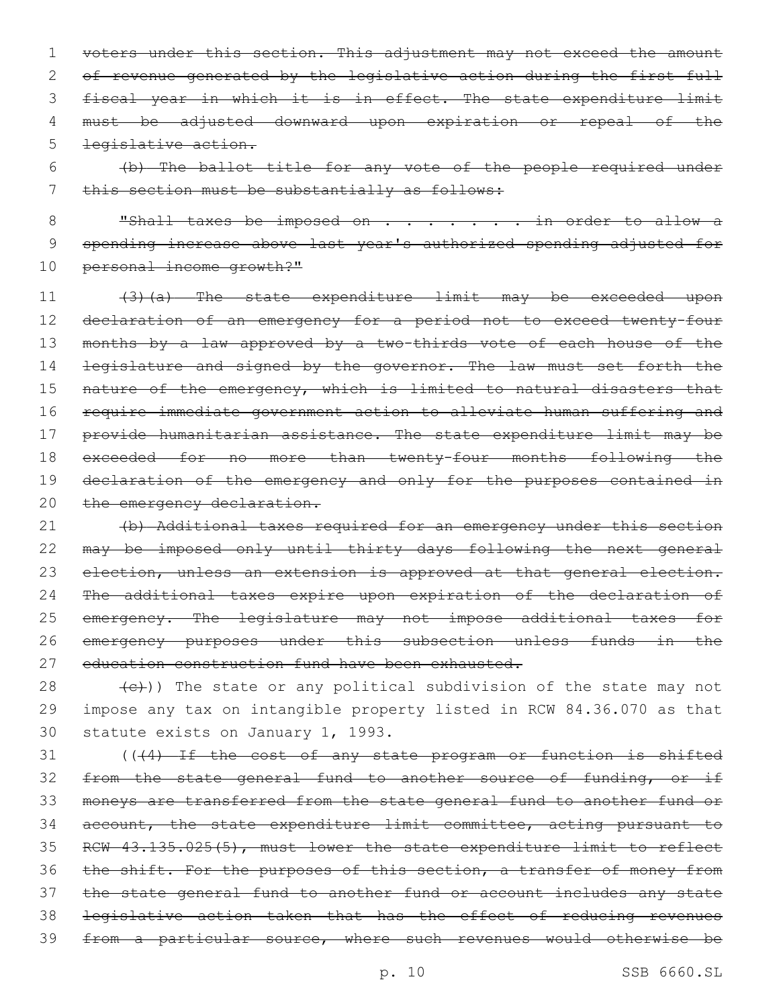1 voters under this section. This adjustment may not exceed the amount 2 of revenue generated by the legislative action during the first full 3 fiscal year in which it is in effect. The state expenditure limit 4 must be adjusted downward upon expiration or repeal of the 5 legislative action.

6 (b) The ballot title for any vote of the people required under 7 this section must be substantially as follows:

8 "Shall taxes be imposed on . . . . . . . in order to allow a 9 spending increase above last year's authorized spending adjusted for 10 personal income growth?"

11 (3)(a) The state expenditure limit may be exceeded upon 12 declaration of an emergency for a period not to exceed twenty-four 13 months by a law approved by a two-thirds vote of each house of the 14 <del>legislature and signed by the governor. The law must set forth the</del> 15 nature of the emergency, which is limited to natural disasters that 16 require immediate government action to alleviate human suffering and 17 provide humanitarian assistance. The state expenditure limit may be 18 exceeded for no more than twenty-four months following the 19 declaration of the emergency and only for the purposes contained in 20 the emergency declaration.

21 (b) Additional taxes required for an emergency under this section 22 may be imposed only until thirty days following the next general 23 election, unless an extension is approved at that general election. 24 The additional taxes expire upon expiration of the declaration of 25 emergency. The legislature may not impose additional taxes for 26 emergency purposes under this subsection unless funds in the 27 education construction fund have been exhausted.

28  $(e)$ )) The state or any political subdivision of the state may not 29 impose any tax on intangible property listed in RCW 84.36.070 as that 30 statute exists on January 1, 1993.

31 (((4) If the cost of any state program or function is shifted 32 from the state general fund to another source of funding, or if moneys are transferred from the state general fund to another fund or account, the state expenditure limit committee, acting pursuant to RCW 43.135.025(5), must lower the state expenditure limit to reflect 36 the shift. For the purposes of this section, a transfer of money from the state general fund to another fund or account includes any state legislative action taken that has the effect of reducing revenues from a particular source, where such revenues would otherwise be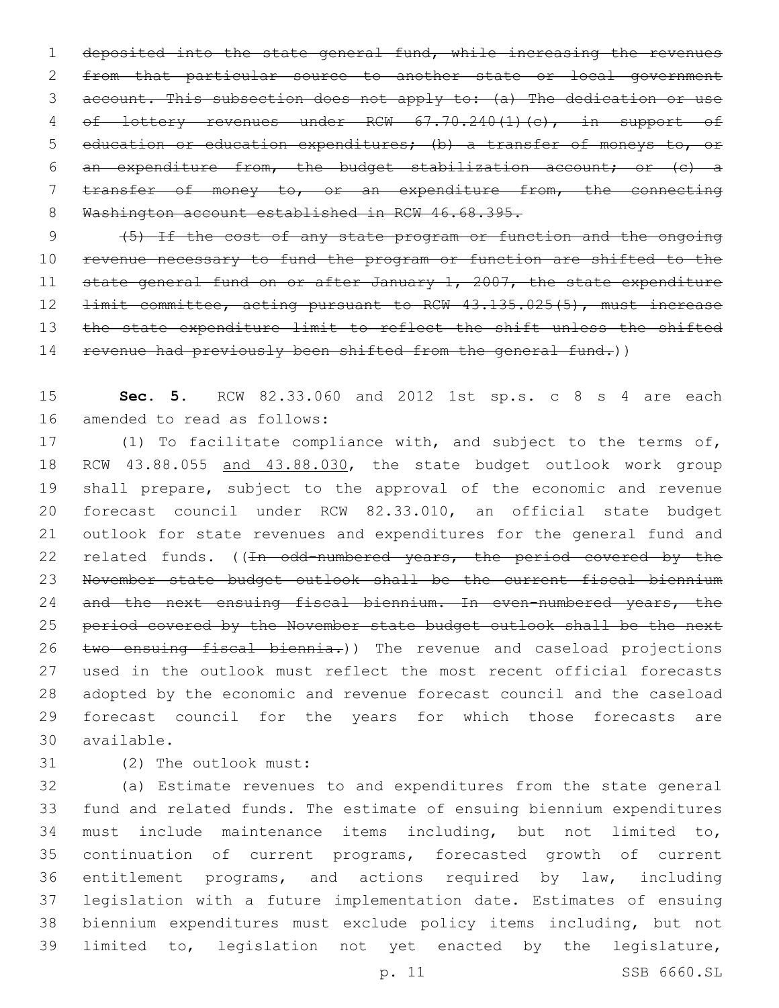deposited into the state general fund, while increasing the revenues from that particular source to another state or local government account. This subsection does not apply to: (a) The dedication or use 4 of lottery revenues under RCW 67.70.240(1)(c), in support of education or education expenditures; (b) a transfer of moneys to, or an expenditure from, the budget stabilization account; or (c) a transfer of money to, or an expenditure from, the connecting 8 Washington account established in RCW 46.68.395.

 (5) If the cost of any state program or function and the ongoing revenue necessary to fund the program or function are shifted to the 11 state general fund on or after January 1, 2007, the state expenditure 12 <del>limit committee, acting pursuant to RCW 43.135.025(5), must increase</del> 13 the state expenditure limit to reflect the shift unless the shifted 14 revenue had previously been shifted from the general fund.))

 **Sec. 5.** RCW 82.33.060 and 2012 1st sp.s. c 8 s 4 are each 16 amended to read as follows:

 (1) To facilitate compliance with, and subject to the terms of, 18 RCW 43.88.055 and 43.88.030, the state budget outlook work group shall prepare, subject to the approval of the economic and revenue forecast council under RCW 82.33.010, an official state budget outlook for state revenues and expenditures for the general fund and 22 related funds. ((In odd-numbered years, the period covered by the November state budget outlook shall be the current fiscal biennium 24 and the next ensuing fiscal biennium. In even-numbered years, the 25 period covered by the November state budget outlook shall be the next 26 two ensuing fiscal biennia.)) The revenue and caseload projections used in the outlook must reflect the most recent official forecasts adopted by the economic and revenue forecast council and the caseload forecast council for the years for which those forecasts are available.30

(2) The outlook must:31

 (a) Estimate revenues to and expenditures from the state general fund and related funds. The estimate of ensuing biennium expenditures must include maintenance items including, but not limited to, continuation of current programs, forecasted growth of current entitlement programs, and actions required by law, including legislation with a future implementation date. Estimates of ensuing biennium expenditures must exclude policy items including, but not limited to, legislation not yet enacted by the legislature,

p. 11 SSB 6660.SL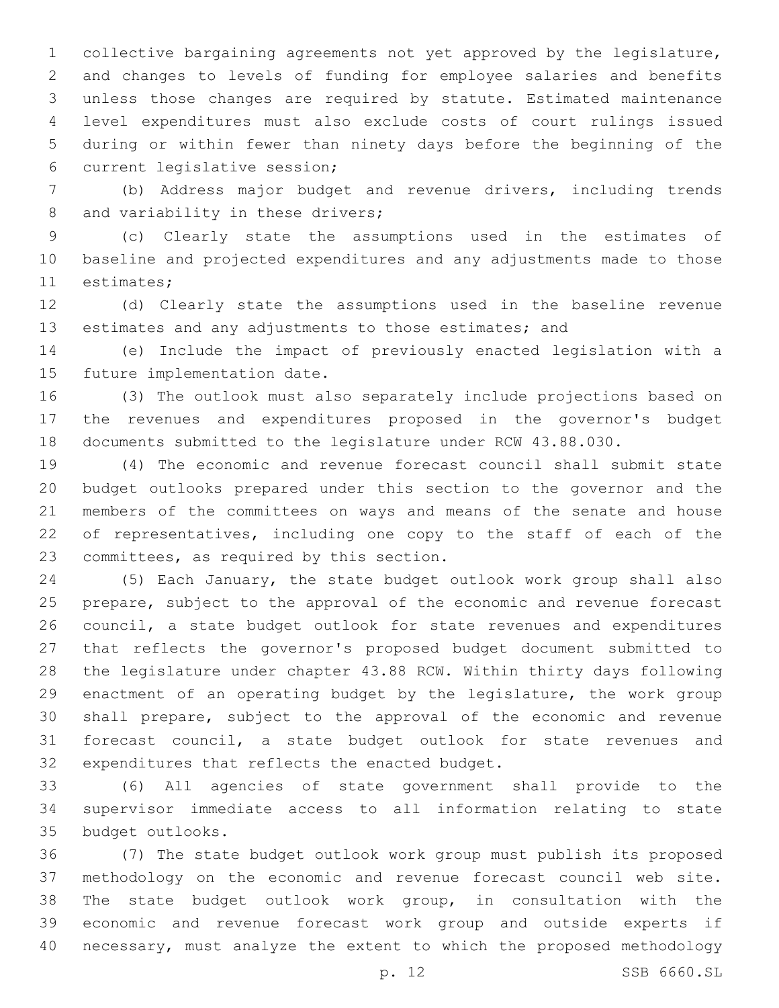collective bargaining agreements not yet approved by the legislature, and changes to levels of funding for employee salaries and benefits unless those changes are required by statute. Estimated maintenance level expenditures must also exclude costs of court rulings issued during or within fewer than ninety days before the beginning of the 6 current legislative session;

 (b) Address major budget and revenue drivers, including trends 8 and variability in these drivers;

 (c) Clearly state the assumptions used in the estimates of baseline and projected expenditures and any adjustments made to those 11 estimates;

 (d) Clearly state the assumptions used in the baseline revenue 13 estimates and any adjustments to those estimates; and

 (e) Include the impact of previously enacted legislation with a 15 future implementation date.

 (3) The outlook must also separately include projections based on the revenues and expenditures proposed in the governor's budget documents submitted to the legislature under RCW 43.88.030.

 (4) The economic and revenue forecast council shall submit state budget outlooks prepared under this section to the governor and the members of the committees on ways and means of the senate and house of representatives, including one copy to the staff of each of the 23 committees, as required by this section.

 (5) Each January, the state budget outlook work group shall also prepare, subject to the approval of the economic and revenue forecast council, a state budget outlook for state revenues and expenditures that reflects the governor's proposed budget document submitted to the legislature under chapter 43.88 RCW. Within thirty days following enactment of an operating budget by the legislature, the work group shall prepare, subject to the approval of the economic and revenue forecast council, a state budget outlook for state revenues and 32 expenditures that reflects the enacted budget.

 (6) All agencies of state government shall provide to the supervisor immediate access to all information relating to state 35 budget outlooks.

 (7) The state budget outlook work group must publish its proposed methodology on the economic and revenue forecast council web site. The state budget outlook work group, in consultation with the economic and revenue forecast work group and outside experts if necessary, must analyze the extent to which the proposed methodology